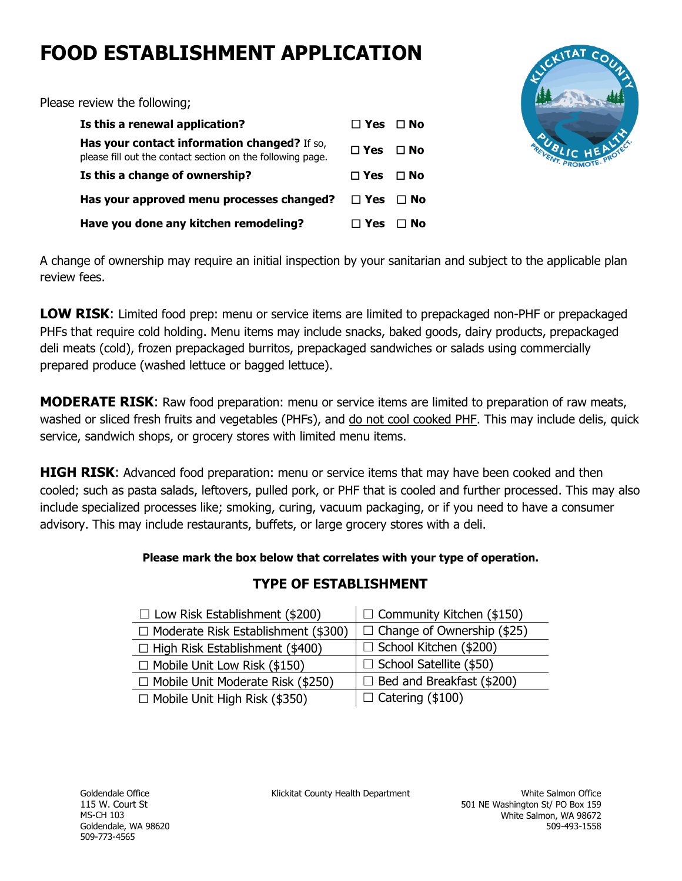# **FOOD ESTABLISHMENT APPLICATION**

Please review the following;

| Is this a renewal application?                                                                             | $\Box$ Yes $\Box$ No |           |
|------------------------------------------------------------------------------------------------------------|----------------------|-----------|
| Has your contact information changed? If so,<br>please fill out the contact section on the following page. | $\Box$ Yes $\Box$ No |           |
| Is this a change of ownership?                                                                             | $\Box$ Yes $\Box$ No |           |
| Has your approved menu processes changed?                                                                  | $\Box$ Yes $\Box$ No |           |
| Have you done any kitchen remodeling?                                                                      | ⊟ Yes ⊟              | $\Box$ No |

A change of ownership may require an initial inspection by your sanitarian and subject to the applicable plan review fees.

**LOW RISK**: Limited food prep: menu or service items are limited to prepackaged non-PHF or prepackaged PHFs that require cold holding. Menu items may include snacks, baked goods, dairy products, prepackaged deli meats (cold), frozen prepackaged burritos, prepackaged sandwiches or salads using commercially prepared produce (washed lettuce or bagged lettuce).

**MODERATE RISK**: Raw food preparation: menu or service items are limited to preparation of raw meats, washed or sliced fresh fruits and vegetables (PHFs), and do not cool cooked PHF. This may include delis, quick service, sandwich shops, or grocery stores with limited menu items.

**HIGH RISK**: Advanced food preparation: menu or service items that may have been cooked and then cooled; such as pasta salads, leftovers, pulled pork, or PHF that is cooled and further processed. This may also include specialized processes like; smoking, curing, vacuum packaging, or if you need to have a consumer advisory. This may include restaurants, buffets, or large grocery stores with a deli.

### **Please mark the box below that correlates with your type of operation.**

## **TYPE OF ESTABLISHMENT**

| $\Box$ Community Kitchen (\$150)<br>$\Box$ Low Risk Establishment (\$200) |                                   |
|---------------------------------------------------------------------------|-----------------------------------|
| $\Box$ Moderate Risk Establishment (\$300)                                | $\Box$ Change of Ownership (\$25) |
| $\Box$ High Risk Establishment (\$400)                                    | $\Box$ School Kitchen (\$200)     |
| $\Box$ Mobile Unit Low Risk (\$150)                                       | $\Box$ School Satellite (\$50)    |
| $\Box$ Mobile Unit Moderate Risk (\$250)                                  | $\Box$ Bed and Breakfast (\$200)  |
| $\Box$ Mobile Unit High Risk (\$350)                                      | $\Box$ Catering (\$100)           |